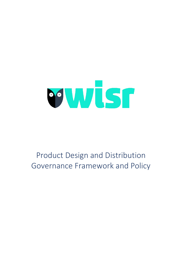

## Product Design and Distribution Governance Framework and Policy